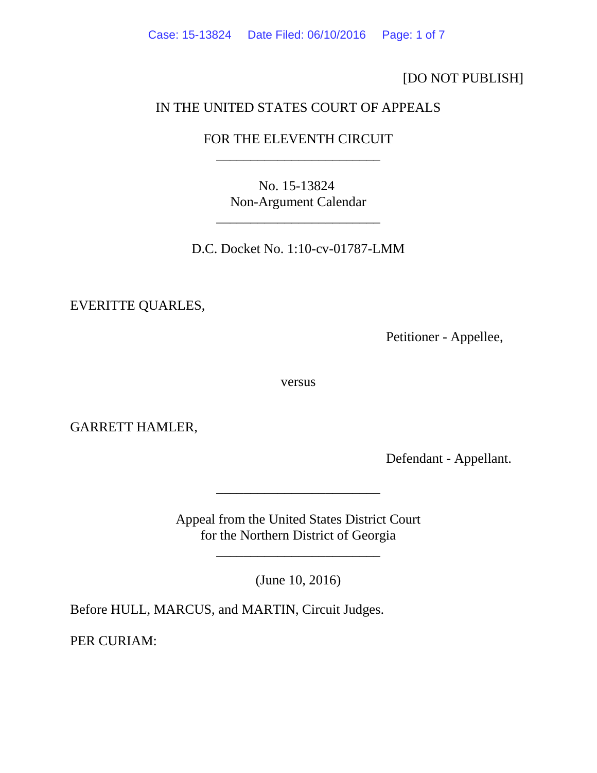[DO NOT PUBLISH]

## IN THE UNITED STATES COURT OF APPEALS

# FOR THE ELEVENTH CIRCUIT \_\_\_\_\_\_\_\_\_\_\_\_\_\_\_\_\_\_\_\_\_\_\_\_

No. 15-13824 Non-Argument Calendar

\_\_\_\_\_\_\_\_\_\_\_\_\_\_\_\_\_\_\_\_\_\_\_\_

D.C. Docket No. 1:10-cv-01787-LMM

EVERITTE QUARLES,

Petitioner - Appellee,

versus

GARRETT HAMLER,

Defendant - Appellant.

Appeal from the United States District Court for the Northern District of Georgia

\_\_\_\_\_\_\_\_\_\_\_\_\_\_\_\_\_\_\_\_\_\_\_\_

(June 10, 2016)

\_\_\_\_\_\_\_\_\_\_\_\_\_\_\_\_\_\_\_\_\_\_\_\_

Before HULL, MARCUS, and MARTIN, Circuit Judges.

PER CURIAM: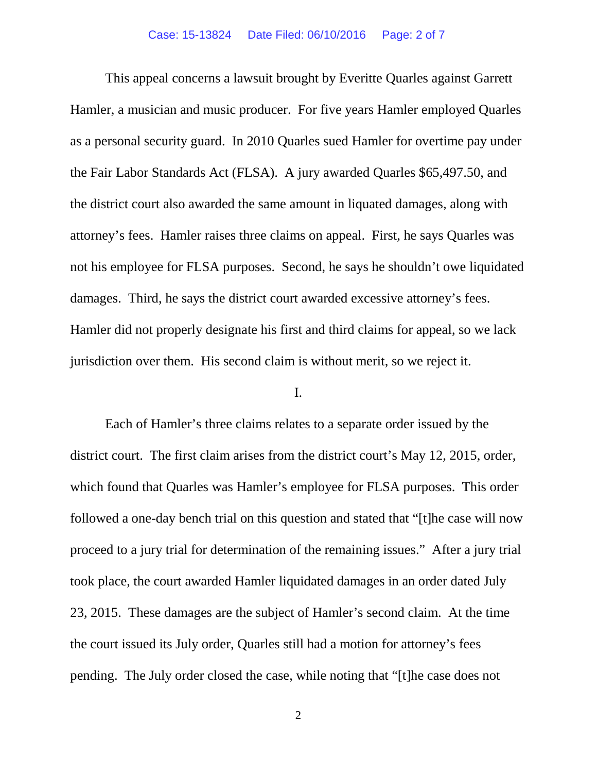This appeal concerns a lawsuit brought by Everitte Quarles against Garrett Hamler, a musician and music producer. For five years Hamler employed Quarles as a personal security guard. In 2010 Quarles sued Hamler for overtime pay under the Fair Labor Standards Act (FLSA). A jury awarded Quarles \$65,497.50, and the district court also awarded the same amount in liquated damages, along with attorney's fees. Hamler raises three claims on appeal. First, he says Quarles was not his employee for FLSA purposes. Second, he says he shouldn't owe liquidated damages. Third, he says the district court awarded excessive attorney's fees. Hamler did not properly designate his first and third claims for appeal, so we lack jurisdiction over them. His second claim is without merit, so we reject it.

### I.

Each of Hamler's three claims relates to a separate order issued by the district court. The first claim arises from the district court's May 12, 2015, order, which found that Quarles was Hamler's employee for FLSA purposes. This order followed a one-day bench trial on this question and stated that "[t]he case will now proceed to a jury trial for determination of the remaining issues." After a jury trial took place, the court awarded Hamler liquidated damages in an order dated July 23, 2015. These damages are the subject of Hamler's second claim. At the time the court issued its July order, Quarles still had a motion for attorney's fees pending. The July order closed the case, while noting that "[t]he case does not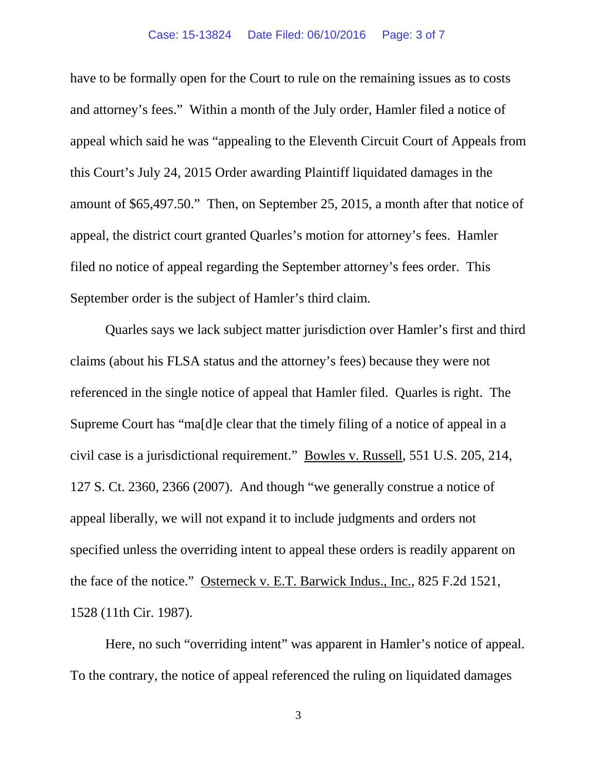have to be formally open for the Court to rule on the remaining issues as to costs and attorney's fees." Within a month of the July order, Hamler filed a notice of appeal which said he was "appealing to the Eleventh Circuit Court of Appeals from this Court's July 24, 2015 Order awarding Plaintiff liquidated damages in the amount of \$65,497.50." Then, on September 25, 2015, a month after that notice of appeal, the district court granted Quarles's motion for attorney's fees. Hamler filed no notice of appeal regarding the September attorney's fees order. This September order is the subject of Hamler's third claim.

Quarles says we lack subject matter jurisdiction over Hamler's first and third claims (about his FLSA status and the attorney's fees) because they were not referenced in the single notice of appeal that Hamler filed. Quarles is right. The Supreme Court has "ma[d]e clear that the timely filing of a notice of appeal in a civil case is a jurisdictional requirement." Bowles v. Russell, 551 U.S. 205, 214, 127 S. Ct. 2360, 2366 (2007). And though "we generally construe a notice of appeal liberally, we will not expand it to include judgments and orders not specified unless the overriding intent to appeal these orders is readily apparent on the face of the notice." Osterneck v. E.T. Barwick Indus., Inc., 825 F.2d 1521, 1528 (11th Cir. 1987).

Here, no such "overriding intent" was apparent in Hamler's notice of appeal. To the contrary, the notice of appeal referenced the ruling on liquidated damages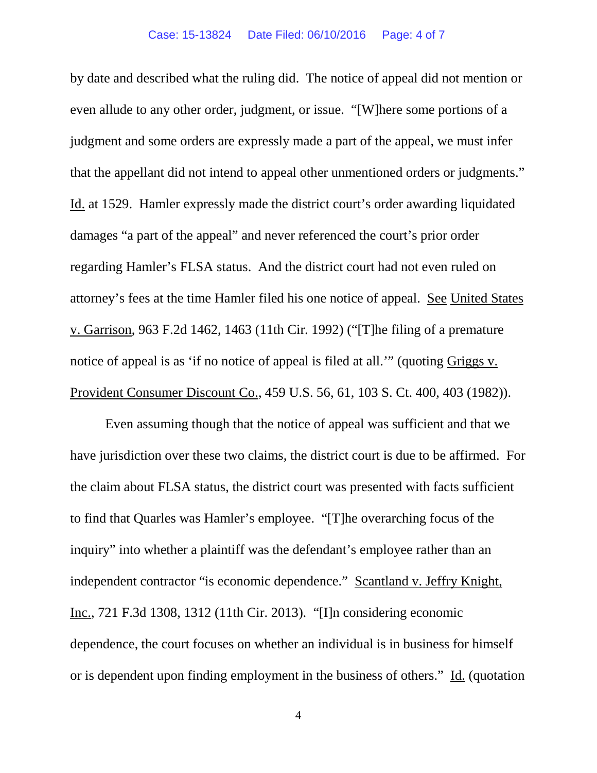by date and described what the ruling did. The notice of appeal did not mention or even allude to any other order, judgment, or issue. "[W]here some portions of a judgment and some orders are expressly made a part of the appeal, we must infer that the appellant did not intend to appeal other unmentioned orders or judgments." Id. at 1529. Hamler expressly made the district court's order awarding liquidated damages "a part of the appeal" and never referenced the court's prior order regarding Hamler's FLSA status. And the district court had not even ruled on attorney's fees at the time Hamler filed his one notice of appeal. See United States v. Garrison, 963 F.2d 1462, 1463 (11th Cir. 1992) ("[T]he filing of a premature notice of appeal is as 'if no notice of appeal is filed at all.'" (quoting Griggs v. Provident Consumer Discount Co., 459 U.S. 56, 61, 103 S. Ct. 400, 403 (1982)).

Even assuming though that the notice of appeal was sufficient and that we have jurisdiction over these two claims, the district court is due to be affirmed. For the claim about FLSA status, the district court was presented with facts sufficient to find that Quarles was Hamler's employee. "[T]he overarching focus of the inquiry" into whether a plaintiff was the defendant's employee rather than an independent contractor "is economic dependence." Scantland v. Jeffry Knight, Inc., 721 F.3d 1308, 1312 (11th Cir. 2013). "[I]n considering economic dependence, the court focuses on whether an individual is in business for himself or is dependent upon finding employment in the business of others." Id. (quotation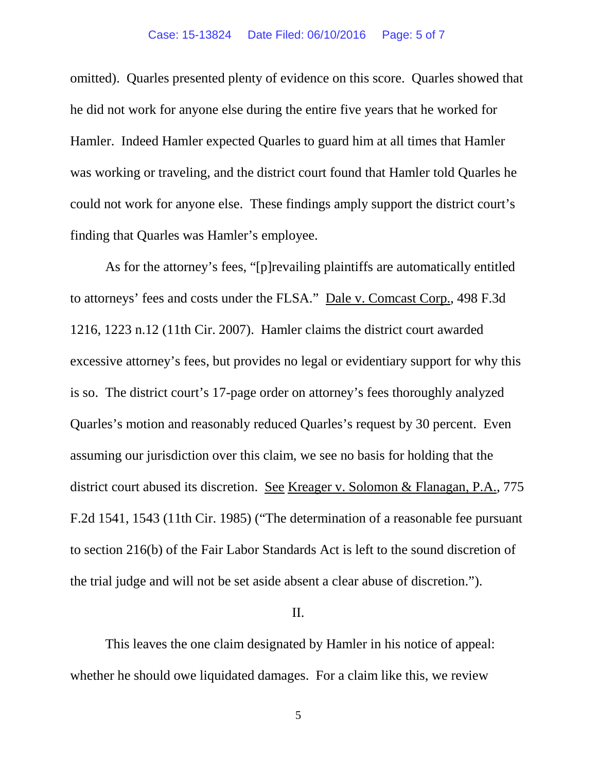omitted). Quarles presented plenty of evidence on this score. Quarles showed that he did not work for anyone else during the entire five years that he worked for Hamler. Indeed Hamler expected Quarles to guard him at all times that Hamler was working or traveling, and the district court found that Hamler told Quarles he could not work for anyone else. These findings amply support the district court's finding that Quarles was Hamler's employee.

As for the attorney's fees, "[p]revailing plaintiffs are automatically entitled to attorneys' fees and costs under the FLSA." Dale v. Comcast Corp., 498 F.3d 1216, 1223 n.12 (11th Cir. 2007). Hamler claims the district court awarded excessive attorney's fees, but provides no legal or evidentiary support for why this is so. The district court's 17-page order on attorney's fees thoroughly analyzed Quarles's motion and reasonably reduced Quarles's request by 30 percent. Even assuming our jurisdiction over this claim, we see no basis for holding that the district court abused its discretion. See Kreager v. Solomon & Flanagan, P.A., 775 F.2d 1541, 1543 (11th Cir. 1985) ("The determination of a reasonable fee pursuant to section 216(b) of the Fair Labor Standards Act is left to the sound discretion of the trial judge and will not be set aside absent a clear abuse of discretion.").

### II.

This leaves the one claim designated by Hamler in his notice of appeal: whether he should owe liquidated damages. For a claim like this, we review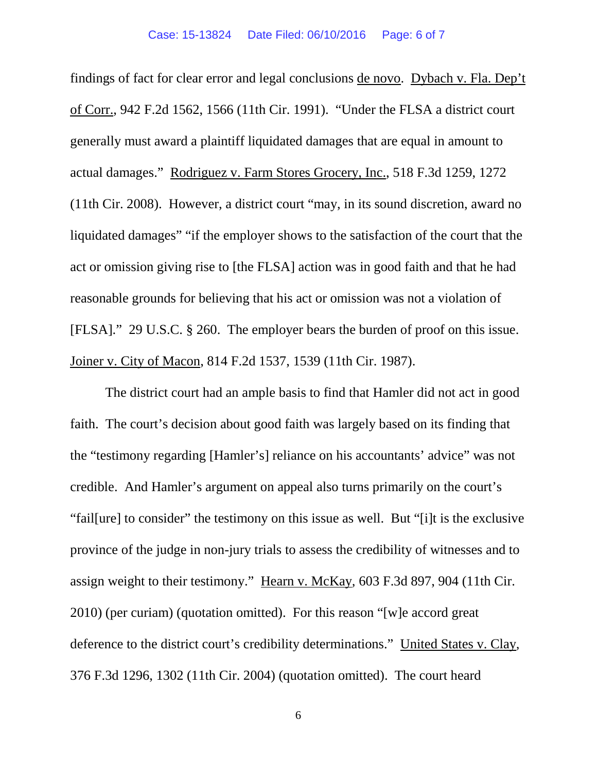findings of fact for clear error and legal conclusions de novo. Dybach v. Fla. Dep't of Corr., 942 F.2d 1562, 1566 (11th Cir. 1991). "Under the FLSA a district court generally must award a plaintiff liquidated damages that are equal in amount to actual damages." Rodriguez v. Farm Stores Grocery, Inc., 518 F.3d 1259, 1272 (11th Cir. 2008). However, a district court "may, in its sound discretion, award no liquidated damages" "if the employer shows to the satisfaction of the court that the act or omission giving rise to [the FLSA] action was in good faith and that he had reasonable grounds for believing that his act or omission was not a violation of [FLSA]." 29 U.S.C. § 260. The employer bears the burden of proof on this issue. Joiner v. City of Macon, 814 F.2d 1537, 1539 (11th Cir. 1987).

The district court had an ample basis to find that Hamler did not act in good faith. The court's decision about good faith was largely based on its finding that the "testimony regarding [Hamler's] reliance on his accountants' advice" was not credible. And Hamler's argument on appeal also turns primarily on the court's "fail[ure] to consider" the testimony on this issue as well. But "[i]t is the exclusive province of the judge in non-jury trials to assess the credibility of witnesses and to assign weight to their testimony." Hearn v. McKay*,* 603 F.3d 897, 904 (11th Cir. 2010) (per curiam) (quotation omitted). For this reason "[w]e accord great deference to the district court's credibility determinations." United States v. Clay*,* 376 F.3d 1296, 1302 (11th Cir. 2004) (quotation omitted). The court heard